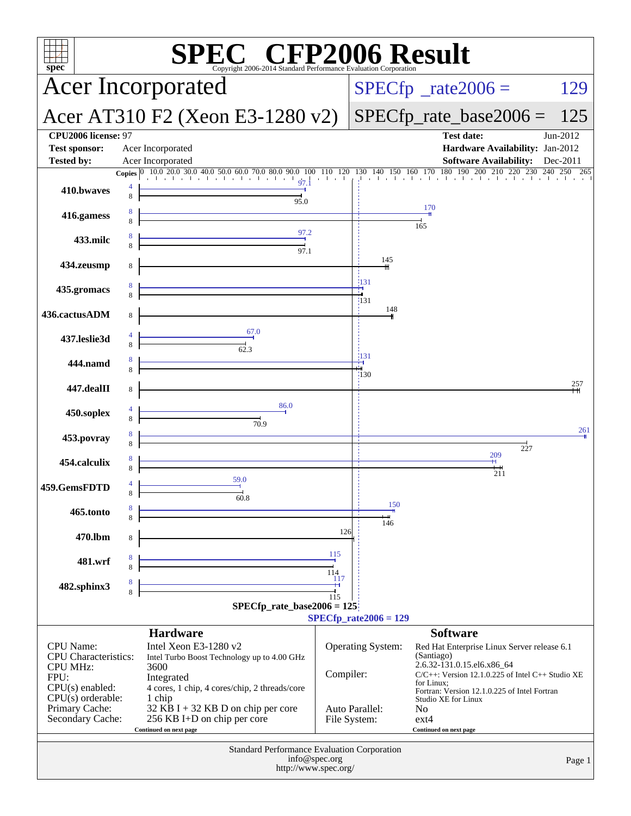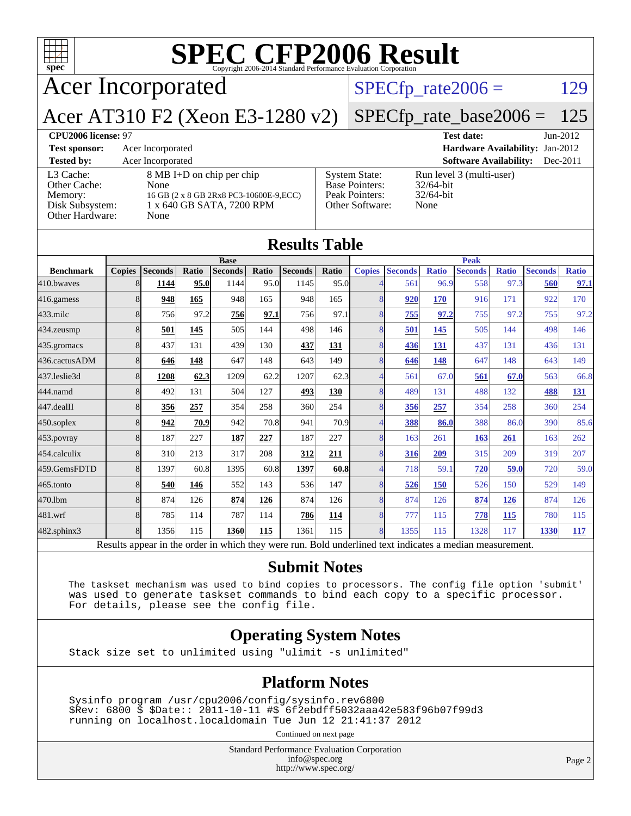

|                  |               |                                                                                                          |       |                |       | $\sim$         |       |                |                |              |                |              |                |              |
|------------------|---------------|----------------------------------------------------------------------------------------------------------|-------|----------------|-------|----------------|-------|----------------|----------------|--------------|----------------|--------------|----------------|--------------|
|                  |               |                                                                                                          |       | <b>Base</b>    |       |                |       |                |                |              | <b>Peak</b>    |              |                |              |
| <b>Benchmark</b> | <b>Copies</b> | <b>Seconds</b>                                                                                           | Ratio | <b>Seconds</b> | Ratio | <b>Seconds</b> | Ratio | <b>Copies</b>  | <b>Seconds</b> | <b>Ratio</b> | <b>Seconds</b> | <b>Ratio</b> | <b>Seconds</b> | <b>Ratio</b> |
| 410.bwayes       | 8             | 1144                                                                                                     | 95.0  | 1144           | 95.0  | 1145           | 95.0  |                | 561            | 96.9         | 558            | 97.3         | 560            | 97.1         |
| 416.gamess       | 8             | 948                                                                                                      | 165   | 948            | 165   | 948            | 165   | 8              | 920            | 170          | 916            | 171          | 922            | 170          |
| $433$ .milc      | 8             | 756                                                                                                      | 97.2  | 756            | 97.1  | 756            | 97.1  | 8              | 755            | 97.2         | 755            | 97.2         | 755            | 97.2         |
| 434.zeusmp       | 8             | 501                                                                                                      | 145   | 505            | 144   | 498            | 146   | 8              | 501            | 145          | 505            | 144          | 498            | 146          |
| 435.gromacs      | 8             | 437                                                                                                      | 131   | 439            | 130   | 437            | 131   | 8              | 436            | 131          | 437            | 131          | 436            | 131          |
| 436.cactusADM    | 8             | 646                                                                                                      | 148   | 647            | 148   | 643            | 149   | 8              | 646            | 148          | 647            | 148          | 643            | 149          |
| 437.leslie3d     | 8             | 1208                                                                                                     | 62.3  | 1209           | 62.2  | 1207           | 62.3  | $\overline{4}$ | 561            | 67.0         | 561            | 67.0         | 563            | 66.8         |
| 444.namd         | 8             | 492                                                                                                      | 131   | 504            | 127   | 493            | 130   | 8              | 489            | 131          | 488            | 132          | 488            | <u>131</u>   |
| 447.dealII       | 8             | 356                                                                                                      | 257   | 354            | 258   | 360            | 254   | 8              | 356            | 257          | 354            | 258          | 360            | 254          |
| $450$ .soplex    | 8             | 942                                                                                                      | 70.9  | 942            | 70.8  | 941            | 70.9  |                | 388            | 86.0         | 388            | 86.0         | 390            | 85.6         |
| $453$ .povray    | 8             | 187                                                                                                      | 227   | 187            | 227   | 187            | 227   | 8              | 163            | 261          | 163            | 261          | 163            | 262          |
| 454.calculix     | 8             | 310                                                                                                      | 213   | 317            | 208   | 312            | 211   | $\overline{8}$ | 316            | 209          | 315            | 209          | 319            | 207          |
| 459.GemsFDTD     | 8             | 1397                                                                                                     | 60.8  | 1395           | 60.8  | 1397           | 60.8  | $\overline{4}$ | 718            | 59.1         | 720            | 59.0         | 720            | 59.0         |
| 465.tonto        | 8             | 540                                                                                                      | 146   | 552            | 143   | 536            | 147   | 8              | 526            | <b>150</b>   | 526            | 150          | 529            | 149          |
| 470.1bm          | 8             | 874                                                                                                      | 126   | 874            | 126   | 874            | 126   | 8              | 874            | 126          | 874            | 126          | 874            | 126          |
| 481.wrf          | 8             | 785                                                                                                      | 114   | 787            | 114   | 786            | 114   | 8              | 777            | 115          | 778            | 115          | 780            | 115          |
| 482.sphinx3      | 8             | 1356                                                                                                     | 115   | 1360           | 115   | 1361           | 115   | 8              | 1355           | 115          | 1328           | 117          | 1330           | 117          |
|                  |               | Results appear in the order in which they were run. Bold underlined text indicates a median measurement. |       |                |       |                |       |                |                |              |                |              |                |              |

#### **[Submit Notes](http://www.spec.org/auto/cpu2006/Docs/result-fields.html#SubmitNotes)**

 The taskset mechanism was used to bind copies to processors. The config file option 'submit' was used to generate taskset commands to bind each copy to a specific processor. For details, please see the config file.

#### **[Operating System Notes](http://www.spec.org/auto/cpu2006/Docs/result-fields.html#OperatingSystemNotes)**

Stack size set to unlimited using "ulimit -s unlimited"

#### **[Platform Notes](http://www.spec.org/auto/cpu2006/Docs/result-fields.html#PlatformNotes)**

 Sysinfo program /usr/cpu2006/config/sysinfo.rev6800 \$Rev: 6800 \$ \$Date:: 2011-10-11 #\$ 6f2ebdff5032aaa42e583f96b07f99d3 running on localhost.localdomain Tue Jun 12 21:41:37 2012

Continued on next page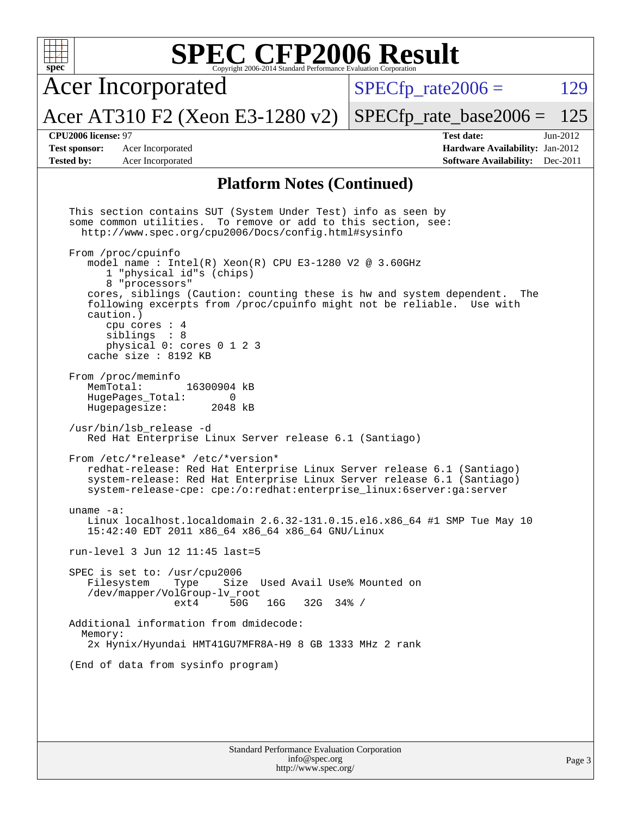| $spec^*$                                                         | <b>SPEC CFP2006 Result</b><br>Copyright 2006-2014 Standard Performance Evaluation Corporation                                                                                                                                                                                                                                                                                                                                                                                                                                                                                                                                                                                                                                                                                                                                                                                                                                                                                                                                                                                                                                                                                                                                                                                                                                                                                                                                                                                                                      |                                                                                                            |
|------------------------------------------------------------------|--------------------------------------------------------------------------------------------------------------------------------------------------------------------------------------------------------------------------------------------------------------------------------------------------------------------------------------------------------------------------------------------------------------------------------------------------------------------------------------------------------------------------------------------------------------------------------------------------------------------------------------------------------------------------------------------------------------------------------------------------------------------------------------------------------------------------------------------------------------------------------------------------------------------------------------------------------------------------------------------------------------------------------------------------------------------------------------------------------------------------------------------------------------------------------------------------------------------------------------------------------------------------------------------------------------------------------------------------------------------------------------------------------------------------------------------------------------------------------------------------------------------|------------------------------------------------------------------------------------------------------------|
|                                                                  | <b>Acer Incorporated</b>                                                                                                                                                                                                                                                                                                                                                                                                                                                                                                                                                                                                                                                                                                                                                                                                                                                                                                                                                                                                                                                                                                                                                                                                                                                                                                                                                                                                                                                                                           | $SPECfp\_rate2006 =$<br>129                                                                                |
|                                                                  | Acer AT310 F2 (Xeon E3-1280 v2)                                                                                                                                                                                                                                                                                                                                                                                                                                                                                                                                                                                                                                                                                                                                                                                                                                                                                                                                                                                                                                                                                                                                                                                                                                                                                                                                                                                                                                                                                    | $SPECfp_rate_base2006 =$<br>125                                                                            |
| CPU2006 license: 97<br><b>Test sponsor:</b><br><b>Tested by:</b> | Acer Incorporated<br>Acer Incorporated                                                                                                                                                                                                                                                                                                                                                                                                                                                                                                                                                                                                                                                                                                                                                                                                                                                                                                                                                                                                                                                                                                                                                                                                                                                                                                                                                                                                                                                                             | <b>Test date:</b><br>Jun-2012<br>Hardware Availability: Jan-2012<br><b>Software Availability:</b> Dec-2011 |
|                                                                  | <b>Platform Notes (Continued)</b>                                                                                                                                                                                                                                                                                                                                                                                                                                                                                                                                                                                                                                                                                                                                                                                                                                                                                                                                                                                                                                                                                                                                                                                                                                                                                                                                                                                                                                                                                  |                                                                                                            |
| uname $-a$ :<br>Memory:                                          | This section contains SUT (System Under Test) info as seen by<br>some common utilities. To remove or add to this section, see:<br>http://www.spec.org/cpu2006/Docs/config.html#sysinfo<br>From /proc/cpuinfo<br>model name : Intel(R) $Xeon(R)$ CPU E3-1280 V2 @ 3.60GHz<br>1 "physical id"s (chips)<br>8 "processors"<br>cores, siblings (Caution: counting these is hw and system dependent.<br>following excerpts from /proc/cpuinfo might not be reliable.<br>caution.)<br>cpu cores $: 4$<br>siblings : 8<br>physical 0: cores 0 1 2 3<br>cache size : 8192 KB<br>From /proc/meminfo<br>MemTotal:<br>16300904 kB<br>HugePages_Total:<br>0<br>Hugepagesize:<br>2048 kB<br>/usr/bin/lsb_release -d<br>Red Hat Enterprise Linux Server release 6.1 (Santiago)<br>From /etc/*release* /etc/*version*<br>redhat-release: Red Hat Enterprise Linux Server release 6.1 (Santiago)<br>system-release: Red Hat Enterprise Linux Server release 6.1 (Santiago)<br>system-release-cpe: cpe:/o:redhat:enterprise_linux:6server:ga:server<br>Linux localhost.localdomain 2.6.32-131.0.15.el6.x86_64 #1 SMP Tue May 10<br>15:42:40 EDT 2011 x86_64 x86_64 x86_64 GNU/Linux<br>run-level 3 Jun 12 11:45 last=5<br>SPEC is set to: /usr/cpu2006<br>Filesystem<br>Size Used Avail Use% Mounted on<br>Type<br>/dev/mapper/VolGroup-lv_root<br>50G<br>16G<br>$32G$ $34%$ /<br>$ext{4}$<br>Additional information from dmidecode:<br>2x Hynix/Hyundai HMT41GU7MFR8A-H9 8 GB 1333 MHz 2 rank<br>(End of data from sysinfo program) | The<br>Use with                                                                                            |
|                                                                  | <b>Standard Performance Evaluation Corporation</b><br>info@spec.org                                                                                                                                                                                                                                                                                                                                                                                                                                                                                                                                                                                                                                                                                                                                                                                                                                                                                                                                                                                                                                                                                                                                                                                                                                                                                                                                                                                                                                                | Page 3                                                                                                     |

<http://www.spec.org/>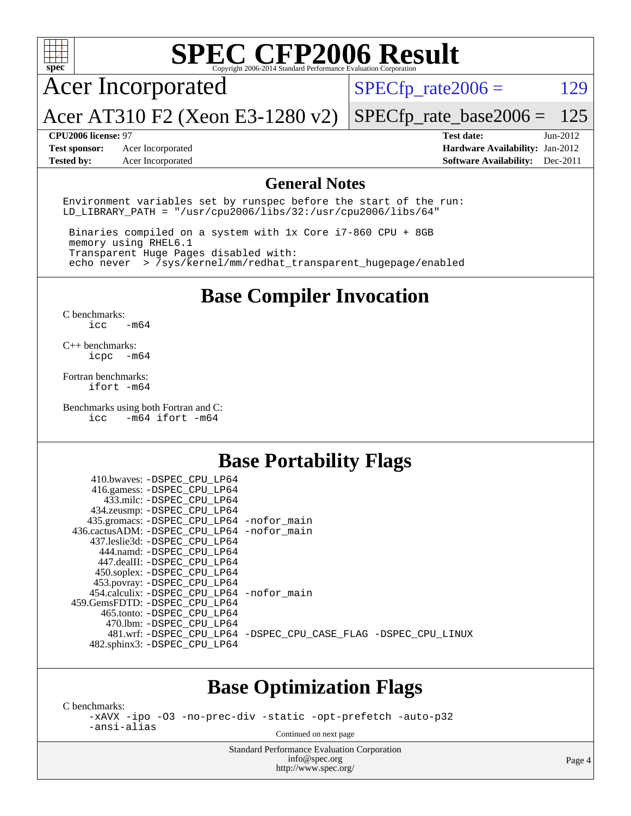

# **[SPEC CFP2006 Result](http://www.spec.org/auto/cpu2006/Docs/result-fields.html#SPECCFP2006Result)**

Acer Incorporated

Acer AT310 F2 (Xeon E3-1280 v2)

 $SPECTp_rate2006 = 129$ 

[SPECfp\\_rate\\_base2006 =](http://www.spec.org/auto/cpu2006/Docs/result-fields.html#SPECfpratebase2006) 125

**[Test sponsor:](http://www.spec.org/auto/cpu2006/Docs/result-fields.html#Testsponsor)** Acer Incorporated **Acceleration Acer Incorporated <b>[Hardware Availability:](http://www.spec.org/auto/cpu2006/Docs/result-fields.html#HardwareAvailability)** Jan-2012

**[CPU2006 license:](http://www.spec.org/auto/cpu2006/Docs/result-fields.html#CPU2006license)** 97 **[Test date:](http://www.spec.org/auto/cpu2006/Docs/result-fields.html#Testdate)** Jun-2012 **[Tested by:](http://www.spec.org/auto/cpu2006/Docs/result-fields.html#Testedby)** Acer Incorporated **[Software Availability:](http://www.spec.org/auto/cpu2006/Docs/result-fields.html#SoftwareAvailability)** Dec-2011

#### **[General Notes](http://www.spec.org/auto/cpu2006/Docs/result-fields.html#GeneralNotes)**

Environment variables set by runspec before the start of the run: LD LIBRARY PATH = "/usr/cpu2006/libs/32:/usr/cpu2006/libs/64"

 Binaries compiled on a system with 1x Core i7-860 CPU + 8GB memory using RHEL6.1 Transparent Huge Pages disabled with: echo never > /sys/kernel/mm/redhat\_transparent\_hugepage/enabled

## **[Base Compiler Invocation](http://www.spec.org/auto/cpu2006/Docs/result-fields.html#BaseCompilerInvocation)**

[C benchmarks](http://www.spec.org/auto/cpu2006/Docs/result-fields.html#Cbenchmarks): [icc -m64](http://www.spec.org/cpu2006/results/res2012q3/cpu2006-20120614-22884.flags.html#user_CCbase_intel_icc_64bit_0b7121f5ab7cfabee23d88897260401c)

[C++ benchmarks:](http://www.spec.org/auto/cpu2006/Docs/result-fields.html#CXXbenchmarks) [icpc -m64](http://www.spec.org/cpu2006/results/res2012q3/cpu2006-20120614-22884.flags.html#user_CXXbase_intel_icpc_64bit_bedb90c1146cab66620883ef4f41a67e)

[Fortran benchmarks](http://www.spec.org/auto/cpu2006/Docs/result-fields.html#Fortranbenchmarks): [ifort -m64](http://www.spec.org/cpu2006/results/res2012q3/cpu2006-20120614-22884.flags.html#user_FCbase_intel_ifort_64bit_ee9d0fb25645d0210d97eb0527dcc06e)

[Benchmarks using both Fortran and C](http://www.spec.org/auto/cpu2006/Docs/result-fields.html#BenchmarksusingbothFortranandC): [icc -m64](http://www.spec.org/cpu2006/results/res2012q3/cpu2006-20120614-22884.flags.html#user_CC_FCbase_intel_icc_64bit_0b7121f5ab7cfabee23d88897260401c) [ifort -m64](http://www.spec.org/cpu2006/results/res2012q3/cpu2006-20120614-22884.flags.html#user_CC_FCbase_intel_ifort_64bit_ee9d0fb25645d0210d97eb0527dcc06e)

 $410.1$   $\ldots$  paper apt tpc.

### **[Base Portability Flags](http://www.spec.org/auto/cpu2006/Docs/result-fields.html#BasePortabilityFlags)**

| 410.0Waves: -DSPEC CPU LP64                |                                                                |
|--------------------------------------------|----------------------------------------------------------------|
| 416.gamess: -DSPEC_CPU_LP64                |                                                                |
| 433.milc: -DSPEC CPU LP64                  |                                                                |
| 434.zeusmp: -DSPEC_CPU_LP64                |                                                                |
| 435.gromacs: -DSPEC_CPU_LP64 -nofor_main   |                                                                |
| 436.cactusADM: -DSPEC CPU LP64 -nofor main |                                                                |
| 437.leslie3d: -DSPEC CPU LP64              |                                                                |
| 444.namd: -DSPEC CPU LP64                  |                                                                |
| 447.dealII: -DSPEC_CPU_LP64                |                                                                |
| 450.soplex: -DSPEC_CPU_LP64                |                                                                |
| 453.povray: -DSPEC_CPU_LP64                |                                                                |
| 454.calculix: -DSPEC CPU LP64 -nofor main  |                                                                |
| 459.GemsFDTD: -DSPEC CPU LP64              |                                                                |
| 465.tonto: - DSPEC CPU LP64                |                                                                |
| 470.1bm: - DSPEC CPU LP64                  |                                                                |
|                                            | 481.wrf: -DSPEC_CPU_LP64 -DSPEC_CPU_CASE_FLAG -DSPEC_CPU_LINUX |
| 482.sphinx3: -DSPEC_CPU_LP64               |                                                                |
|                                            |                                                                |

### **[Base Optimization Flags](http://www.spec.org/auto/cpu2006/Docs/result-fields.html#BaseOptimizationFlags)**

[C benchmarks](http://www.spec.org/auto/cpu2006/Docs/result-fields.html#Cbenchmarks):

[-xAVX](http://www.spec.org/cpu2006/results/res2012q3/cpu2006-20120614-22884.flags.html#user_CCbase_f-xAVX) [-ipo](http://www.spec.org/cpu2006/results/res2012q3/cpu2006-20120614-22884.flags.html#user_CCbase_f-ipo) [-O3](http://www.spec.org/cpu2006/results/res2012q3/cpu2006-20120614-22884.flags.html#user_CCbase_f-O3) [-no-prec-div](http://www.spec.org/cpu2006/results/res2012q3/cpu2006-20120614-22884.flags.html#user_CCbase_f-no-prec-div) [-static](http://www.spec.org/cpu2006/results/res2012q3/cpu2006-20120614-22884.flags.html#user_CCbase_f-static) [-opt-prefetch](http://www.spec.org/cpu2006/results/res2012q3/cpu2006-20120614-22884.flags.html#user_CCbase_f-opt-prefetch) [-auto-p32](http://www.spec.org/cpu2006/results/res2012q3/cpu2006-20120614-22884.flags.html#user_CCbase_f-auto-p32) [-ansi-alias](http://www.spec.org/cpu2006/results/res2012q3/cpu2006-20120614-22884.flags.html#user_CCbase_f-ansi-alias)

Continued on next page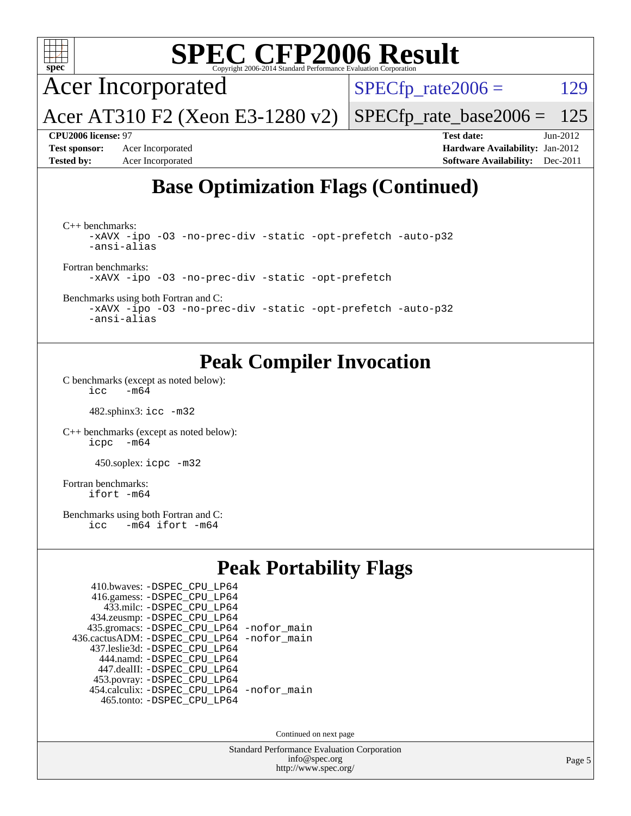

 $\text{icc}$  -m64

482.sphinx3: [icc -m32](http://www.spec.org/cpu2006/results/res2012q3/cpu2006-20120614-22884.flags.html#user_peakCCLD482_sphinx3_intel_icc_a6a621f8d50482236b970c6ac5f55f93)

[C++ benchmarks \(except as noted below\):](http://www.spec.org/auto/cpu2006/Docs/result-fields.html#CXXbenchmarksexceptasnotedbelow) [icpc -m64](http://www.spec.org/cpu2006/results/res2012q3/cpu2006-20120614-22884.flags.html#user_CXXpeak_intel_icpc_64bit_bedb90c1146cab66620883ef4f41a67e)

450.soplex: [icpc -m32](http://www.spec.org/cpu2006/results/res2012q3/cpu2006-20120614-22884.flags.html#user_peakCXXLD450_soplex_intel_icpc_4e5a5ef1a53fd332b3c49e69c3330699)

[Fortran benchmarks](http://www.spec.org/auto/cpu2006/Docs/result-fields.html#Fortranbenchmarks): [ifort -m64](http://www.spec.org/cpu2006/results/res2012q3/cpu2006-20120614-22884.flags.html#user_FCpeak_intel_ifort_64bit_ee9d0fb25645d0210d97eb0527dcc06e)

[Benchmarks using both Fortran and C](http://www.spec.org/auto/cpu2006/Docs/result-fields.html#BenchmarksusingbothFortranandC):<br>icc -m64 ifort -m64  $-m64$  ifort  $-m64$ 

## **[Peak Portability Flags](http://www.spec.org/auto/cpu2006/Docs/result-fields.html#PeakPortabilityFlags)**

| 410.bwaves: - DSPEC CPU LP64                |  |
|---------------------------------------------|--|
| 416.gamess: -DSPEC_CPU_LP64                 |  |
| 433.milc: -DSPEC CPU LP64                   |  |
| 434.zeusmp: - DSPEC_CPU_LP64                |  |
| 435.gromacs: -DSPEC_CPU_LP64 -nofor_main    |  |
| 436.cactusADM: -DSPEC CPU LP64 -nofor main  |  |
| 437.leslie3d: -DSPEC CPU LP64               |  |
| 444.namd: - DSPEC CPU LP64                  |  |
| 447.dealII: -DSPEC CPU LP64                 |  |
| 453.povray: -DSPEC_CPU_LP64                 |  |
| 454.calculix: - DSPEC CPU LP64 - nofor main |  |
| 465.tonto: - DSPEC CPU LP64                 |  |

Continued on next page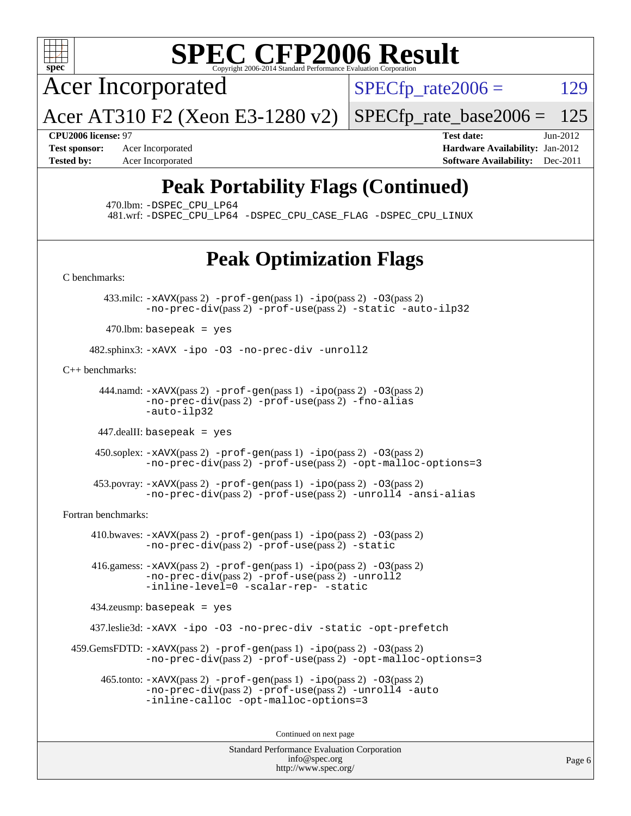

# **[SPEC CFP2006 Result](http://www.spec.org/auto/cpu2006/Docs/result-fields.html#SPECCFP2006Result)**

Acer Incorporated

 $SPECTp_rate2006 = 129$ 

Acer AT310 F2 (Xeon E3-1280 v2)  $SPECTp\_rate\_base2006 = 125$ 

**[CPU2006 license:](http://www.spec.org/auto/cpu2006/Docs/result-fields.html#CPU2006license)** 97 **[Test date:](http://www.spec.org/auto/cpu2006/Docs/result-fields.html#Testdate)** Jun-2012 **[Test sponsor:](http://www.spec.org/auto/cpu2006/Docs/result-fields.html#Testsponsor)** Acer Incorporated **[Hardware Availability:](http://www.spec.org/auto/cpu2006/Docs/result-fields.html#HardwareAvailability)** Jan-2012 **[Tested by:](http://www.spec.org/auto/cpu2006/Docs/result-fields.html#Testedby)** Acer Incorporated **[Software Availability:](http://www.spec.org/auto/cpu2006/Docs/result-fields.html#SoftwareAvailability)** Dec-2011

# **[Peak Portability Flags \(Continued\)](http://www.spec.org/auto/cpu2006/Docs/result-fields.html#PeakPortabilityFlags)**

470.lbm: [-DSPEC\\_CPU\\_LP64](http://www.spec.org/cpu2006/results/res2012q3/cpu2006-20120614-22884.flags.html#suite_peakPORTABILITY470_lbm_DSPEC_CPU_LP64)

481.wrf: [-DSPEC\\_CPU\\_LP64](http://www.spec.org/cpu2006/results/res2012q3/cpu2006-20120614-22884.flags.html#suite_peakPORTABILITY481_wrf_DSPEC_CPU_LP64) [-DSPEC\\_CPU\\_CASE\\_FLAG](http://www.spec.org/cpu2006/results/res2012q3/cpu2006-20120614-22884.flags.html#b481.wrf_peakCPORTABILITY_DSPEC_CPU_CASE_FLAG) [-DSPEC\\_CPU\\_LINUX](http://www.spec.org/cpu2006/results/res2012q3/cpu2006-20120614-22884.flags.html#b481.wrf_peakCPORTABILITY_DSPEC_CPU_LINUX)

# **[Peak Optimization Flags](http://www.spec.org/auto/cpu2006/Docs/result-fields.html#PeakOptimizationFlags)**

[C benchmarks](http://www.spec.org/auto/cpu2006/Docs/result-fields.html#Cbenchmarks):

433.milc:  $-x$ AVX(pass 2)  $-p$ rof-gen(pass 1)  $-p$ po(pass 2)  $-03$ (pass 2) [-no-prec-div](http://www.spec.org/cpu2006/results/res2012q3/cpu2006-20120614-22884.flags.html#user_peakPASS2_CFLAGSPASS2_LDFLAGS433_milc_f-no-prec-div)(pass 2) [-prof-use](http://www.spec.org/cpu2006/results/res2012q3/cpu2006-20120614-22884.flags.html#user_peakPASS2_CFLAGSPASS2_LDFLAGS433_milc_prof_use_bccf7792157ff70d64e32fe3e1250b55)(pass 2) [-static](http://www.spec.org/cpu2006/results/res2012q3/cpu2006-20120614-22884.flags.html#user_peakOPTIMIZE433_milc_f-static) [-auto-ilp32](http://www.spec.org/cpu2006/results/res2012q3/cpu2006-20120614-22884.flags.html#user_peakCOPTIMIZE433_milc_f-auto-ilp32)

 $470$ .lbm: basepeak = yes

482.sphinx3: [-xAVX](http://www.spec.org/cpu2006/results/res2012q3/cpu2006-20120614-22884.flags.html#user_peakOPTIMIZE482_sphinx3_f-xAVX) [-ipo](http://www.spec.org/cpu2006/results/res2012q3/cpu2006-20120614-22884.flags.html#user_peakOPTIMIZE482_sphinx3_f-ipo) [-O3](http://www.spec.org/cpu2006/results/res2012q3/cpu2006-20120614-22884.flags.html#user_peakOPTIMIZE482_sphinx3_f-O3) [-no-prec-div](http://www.spec.org/cpu2006/results/res2012q3/cpu2006-20120614-22884.flags.html#user_peakOPTIMIZE482_sphinx3_f-no-prec-div) [-unroll2](http://www.spec.org/cpu2006/results/res2012q3/cpu2006-20120614-22884.flags.html#user_peakCOPTIMIZE482_sphinx3_f-unroll_784dae83bebfb236979b41d2422d7ec2)

[C++ benchmarks:](http://www.spec.org/auto/cpu2006/Docs/result-fields.html#CXXbenchmarks)

444.namd:  $-x$ AVX(pass 2)  $-p$ rof-gen(pass 1)  $-p$ po(pass 2)  $-03$ (pass 2) [-no-prec-div](http://www.spec.org/cpu2006/results/res2012q3/cpu2006-20120614-22884.flags.html#user_peakPASS2_CXXFLAGSPASS2_LDFLAGS444_namd_f-no-prec-div)(pass 2) [-prof-use](http://www.spec.org/cpu2006/results/res2012q3/cpu2006-20120614-22884.flags.html#user_peakPASS2_CXXFLAGSPASS2_LDFLAGS444_namd_prof_use_bccf7792157ff70d64e32fe3e1250b55)(pass 2) [-fno-alias](http://www.spec.org/cpu2006/results/res2012q3/cpu2006-20120614-22884.flags.html#user_peakCXXOPTIMIZE444_namd_f-no-alias_694e77f6c5a51e658e82ccff53a9e63a) [-auto-ilp32](http://www.spec.org/cpu2006/results/res2012q3/cpu2006-20120614-22884.flags.html#user_peakCXXOPTIMIZE444_namd_f-auto-ilp32)

447.dealII: basepeak = yes

 450.soplex: [-xAVX](http://www.spec.org/cpu2006/results/res2012q3/cpu2006-20120614-22884.flags.html#user_peakPASS2_CXXFLAGSPASS2_LDFLAGS450_soplex_f-xAVX)(pass 2) [-prof-gen](http://www.spec.org/cpu2006/results/res2012q3/cpu2006-20120614-22884.flags.html#user_peakPASS1_CXXFLAGSPASS1_LDFLAGS450_soplex_prof_gen_e43856698f6ca7b7e442dfd80e94a8fc)(pass 1) [-ipo](http://www.spec.org/cpu2006/results/res2012q3/cpu2006-20120614-22884.flags.html#user_peakPASS2_CXXFLAGSPASS2_LDFLAGS450_soplex_f-ipo)(pass 2) [-O3](http://www.spec.org/cpu2006/results/res2012q3/cpu2006-20120614-22884.flags.html#user_peakPASS2_CXXFLAGSPASS2_LDFLAGS450_soplex_f-O3)(pass 2) [-no-prec-div](http://www.spec.org/cpu2006/results/res2012q3/cpu2006-20120614-22884.flags.html#user_peakPASS2_CXXFLAGSPASS2_LDFLAGS450_soplex_f-no-prec-div)(pass 2) [-prof-use](http://www.spec.org/cpu2006/results/res2012q3/cpu2006-20120614-22884.flags.html#user_peakPASS2_CXXFLAGSPASS2_LDFLAGS450_soplex_prof_use_bccf7792157ff70d64e32fe3e1250b55)(pass 2) [-opt-malloc-options=3](http://www.spec.org/cpu2006/results/res2012q3/cpu2006-20120614-22884.flags.html#user_peakOPTIMIZE450_soplex_f-opt-malloc-options_13ab9b803cf986b4ee62f0a5998c2238)

 453.povray: [-xAVX](http://www.spec.org/cpu2006/results/res2012q3/cpu2006-20120614-22884.flags.html#user_peakPASS2_CXXFLAGSPASS2_LDFLAGS453_povray_f-xAVX)(pass 2) [-prof-gen](http://www.spec.org/cpu2006/results/res2012q3/cpu2006-20120614-22884.flags.html#user_peakPASS1_CXXFLAGSPASS1_LDFLAGS453_povray_prof_gen_e43856698f6ca7b7e442dfd80e94a8fc)(pass 1) [-ipo](http://www.spec.org/cpu2006/results/res2012q3/cpu2006-20120614-22884.flags.html#user_peakPASS2_CXXFLAGSPASS2_LDFLAGS453_povray_f-ipo)(pass 2) [-O3](http://www.spec.org/cpu2006/results/res2012q3/cpu2006-20120614-22884.flags.html#user_peakPASS2_CXXFLAGSPASS2_LDFLAGS453_povray_f-O3)(pass 2) [-no-prec-div](http://www.spec.org/cpu2006/results/res2012q3/cpu2006-20120614-22884.flags.html#user_peakPASS2_CXXFLAGSPASS2_LDFLAGS453_povray_f-no-prec-div)(pass 2) [-prof-use](http://www.spec.org/cpu2006/results/res2012q3/cpu2006-20120614-22884.flags.html#user_peakPASS2_CXXFLAGSPASS2_LDFLAGS453_povray_prof_use_bccf7792157ff70d64e32fe3e1250b55)(pass 2) [-unroll4](http://www.spec.org/cpu2006/results/res2012q3/cpu2006-20120614-22884.flags.html#user_peakCXXOPTIMIZE453_povray_f-unroll_4e5e4ed65b7fd20bdcd365bec371b81f) [-ansi-alias](http://www.spec.org/cpu2006/results/res2012q3/cpu2006-20120614-22884.flags.html#user_peakCXXOPTIMIZE453_povray_f-ansi-alias)

[Fortran benchmarks](http://www.spec.org/auto/cpu2006/Docs/result-fields.html#Fortranbenchmarks):

410.bwaves:  $-xAUX(pass 2)$  -prof-qen(pass 1) [-ipo](http://www.spec.org/cpu2006/results/res2012q3/cpu2006-20120614-22884.flags.html#user_peakPASS2_FFLAGSPASS2_LDFLAGS410_bwaves_f-ipo)(pass 2) [-O3](http://www.spec.org/cpu2006/results/res2012q3/cpu2006-20120614-22884.flags.html#user_peakPASS2_FFLAGSPASS2_LDFLAGS410_bwaves_f-O3)(pass 2) [-no-prec-div](http://www.spec.org/cpu2006/results/res2012q3/cpu2006-20120614-22884.flags.html#user_peakPASS2_FFLAGSPASS2_LDFLAGS410_bwaves_f-no-prec-div)(pass 2) [-prof-use](http://www.spec.org/cpu2006/results/res2012q3/cpu2006-20120614-22884.flags.html#user_peakPASS2_FFLAGSPASS2_LDFLAGS410_bwaves_prof_use_bccf7792157ff70d64e32fe3e1250b55)(pass 2) [-static](http://www.spec.org/cpu2006/results/res2012q3/cpu2006-20120614-22884.flags.html#user_peakOPTIMIZE410_bwaves_f-static)

 416.gamess: [-xAVX](http://www.spec.org/cpu2006/results/res2012q3/cpu2006-20120614-22884.flags.html#user_peakPASS2_FFLAGSPASS2_LDFLAGS416_gamess_f-xAVX)(pass 2) [-prof-gen](http://www.spec.org/cpu2006/results/res2012q3/cpu2006-20120614-22884.flags.html#user_peakPASS1_FFLAGSPASS1_LDFLAGS416_gamess_prof_gen_e43856698f6ca7b7e442dfd80e94a8fc)(pass 1) [-ipo](http://www.spec.org/cpu2006/results/res2012q3/cpu2006-20120614-22884.flags.html#user_peakPASS2_FFLAGSPASS2_LDFLAGS416_gamess_f-ipo)(pass 2) [-O3](http://www.spec.org/cpu2006/results/res2012q3/cpu2006-20120614-22884.flags.html#user_peakPASS2_FFLAGSPASS2_LDFLAGS416_gamess_f-O3)(pass 2) [-no-prec-div](http://www.spec.org/cpu2006/results/res2012q3/cpu2006-20120614-22884.flags.html#user_peakPASS2_FFLAGSPASS2_LDFLAGS416_gamess_f-no-prec-div)(pass 2) [-prof-use](http://www.spec.org/cpu2006/results/res2012q3/cpu2006-20120614-22884.flags.html#user_peakPASS2_FFLAGSPASS2_LDFLAGS416_gamess_prof_use_bccf7792157ff70d64e32fe3e1250b55)(pass 2) [-unroll2](http://www.spec.org/cpu2006/results/res2012q3/cpu2006-20120614-22884.flags.html#user_peakOPTIMIZE416_gamess_f-unroll_784dae83bebfb236979b41d2422d7ec2) [-inline-level=0](http://www.spec.org/cpu2006/results/res2012q3/cpu2006-20120614-22884.flags.html#user_peakOPTIMIZE416_gamess_f-inline-level_318d07a09274ad25e8d15dbfaa68ba50) [-scalar-rep-](http://www.spec.org/cpu2006/results/res2012q3/cpu2006-20120614-22884.flags.html#user_peakOPTIMIZE416_gamess_f-disablescalarrep_abbcad04450fb118e4809c81d83c8a1d) [-static](http://www.spec.org/cpu2006/results/res2012q3/cpu2006-20120614-22884.flags.html#user_peakOPTIMIZE416_gamess_f-static)

434.zeusmp: basepeak = yes

437.leslie3d: [-xAVX](http://www.spec.org/cpu2006/results/res2012q3/cpu2006-20120614-22884.flags.html#user_peakOPTIMIZE437_leslie3d_f-xAVX) [-ipo](http://www.spec.org/cpu2006/results/res2012q3/cpu2006-20120614-22884.flags.html#user_peakOPTIMIZE437_leslie3d_f-ipo) [-O3](http://www.spec.org/cpu2006/results/res2012q3/cpu2006-20120614-22884.flags.html#user_peakOPTIMIZE437_leslie3d_f-O3) [-no-prec-div](http://www.spec.org/cpu2006/results/res2012q3/cpu2006-20120614-22884.flags.html#user_peakOPTIMIZE437_leslie3d_f-no-prec-div) [-static](http://www.spec.org/cpu2006/results/res2012q3/cpu2006-20120614-22884.flags.html#user_peakOPTIMIZE437_leslie3d_f-static) [-opt-prefetch](http://www.spec.org/cpu2006/results/res2012q3/cpu2006-20120614-22884.flags.html#user_peakOPTIMIZE437_leslie3d_f-opt-prefetch)

 459.GemsFDTD: [-xAVX](http://www.spec.org/cpu2006/results/res2012q3/cpu2006-20120614-22884.flags.html#user_peakPASS2_FFLAGSPASS2_LDFLAGS459_GemsFDTD_f-xAVX)(pass 2) [-prof-gen](http://www.spec.org/cpu2006/results/res2012q3/cpu2006-20120614-22884.flags.html#user_peakPASS1_FFLAGSPASS1_LDFLAGS459_GemsFDTD_prof_gen_e43856698f6ca7b7e442dfd80e94a8fc)(pass 1) [-ipo](http://www.spec.org/cpu2006/results/res2012q3/cpu2006-20120614-22884.flags.html#user_peakPASS2_FFLAGSPASS2_LDFLAGS459_GemsFDTD_f-ipo)(pass 2) [-O3](http://www.spec.org/cpu2006/results/res2012q3/cpu2006-20120614-22884.flags.html#user_peakPASS2_FFLAGSPASS2_LDFLAGS459_GemsFDTD_f-O3)(pass 2) [-no-prec-div](http://www.spec.org/cpu2006/results/res2012q3/cpu2006-20120614-22884.flags.html#user_peakPASS2_FFLAGSPASS2_LDFLAGS459_GemsFDTD_f-no-prec-div)(pass 2) [-prof-use](http://www.spec.org/cpu2006/results/res2012q3/cpu2006-20120614-22884.flags.html#user_peakPASS2_FFLAGSPASS2_LDFLAGS459_GemsFDTD_prof_use_bccf7792157ff70d64e32fe3e1250b55)(pass 2) [-opt-malloc-options=3](http://www.spec.org/cpu2006/results/res2012q3/cpu2006-20120614-22884.flags.html#user_peakOPTIMIZE459_GemsFDTD_f-opt-malloc-options_13ab9b803cf986b4ee62f0a5998c2238)

 465.tonto: [-xAVX](http://www.spec.org/cpu2006/results/res2012q3/cpu2006-20120614-22884.flags.html#user_peakPASS2_FFLAGSPASS2_LDFLAGS465_tonto_f-xAVX)(pass 2) [-prof-gen](http://www.spec.org/cpu2006/results/res2012q3/cpu2006-20120614-22884.flags.html#user_peakPASS1_FFLAGSPASS1_LDFLAGS465_tonto_prof_gen_e43856698f6ca7b7e442dfd80e94a8fc)(pass 1) [-ipo](http://www.spec.org/cpu2006/results/res2012q3/cpu2006-20120614-22884.flags.html#user_peakPASS2_FFLAGSPASS2_LDFLAGS465_tonto_f-ipo)(pass 2) [-O3](http://www.spec.org/cpu2006/results/res2012q3/cpu2006-20120614-22884.flags.html#user_peakPASS2_FFLAGSPASS2_LDFLAGS465_tonto_f-O3)(pass 2) [-no-prec-div](http://www.spec.org/cpu2006/results/res2012q3/cpu2006-20120614-22884.flags.html#user_peakPASS2_FFLAGSPASS2_LDFLAGS465_tonto_f-no-prec-div)(pass 2) [-prof-use](http://www.spec.org/cpu2006/results/res2012q3/cpu2006-20120614-22884.flags.html#user_peakPASS2_FFLAGSPASS2_LDFLAGS465_tonto_prof_use_bccf7792157ff70d64e32fe3e1250b55)(pass 2) [-unroll4](http://www.spec.org/cpu2006/results/res2012q3/cpu2006-20120614-22884.flags.html#user_peakOPTIMIZE465_tonto_f-unroll_4e5e4ed65b7fd20bdcd365bec371b81f) [-auto](http://www.spec.org/cpu2006/results/res2012q3/cpu2006-20120614-22884.flags.html#user_peakOPTIMIZE465_tonto_f-auto) [-inline-calloc](http://www.spec.org/cpu2006/results/res2012q3/cpu2006-20120614-22884.flags.html#user_peakOPTIMIZE465_tonto_f-inline-calloc) [-opt-malloc-options=3](http://www.spec.org/cpu2006/results/res2012q3/cpu2006-20120614-22884.flags.html#user_peakOPTIMIZE465_tonto_f-opt-malloc-options_13ab9b803cf986b4ee62f0a5998c2238)

Continued on next page

```
Standard Performance Evaluation Corporation
  info@spec.org
http://www.spec.org/
```